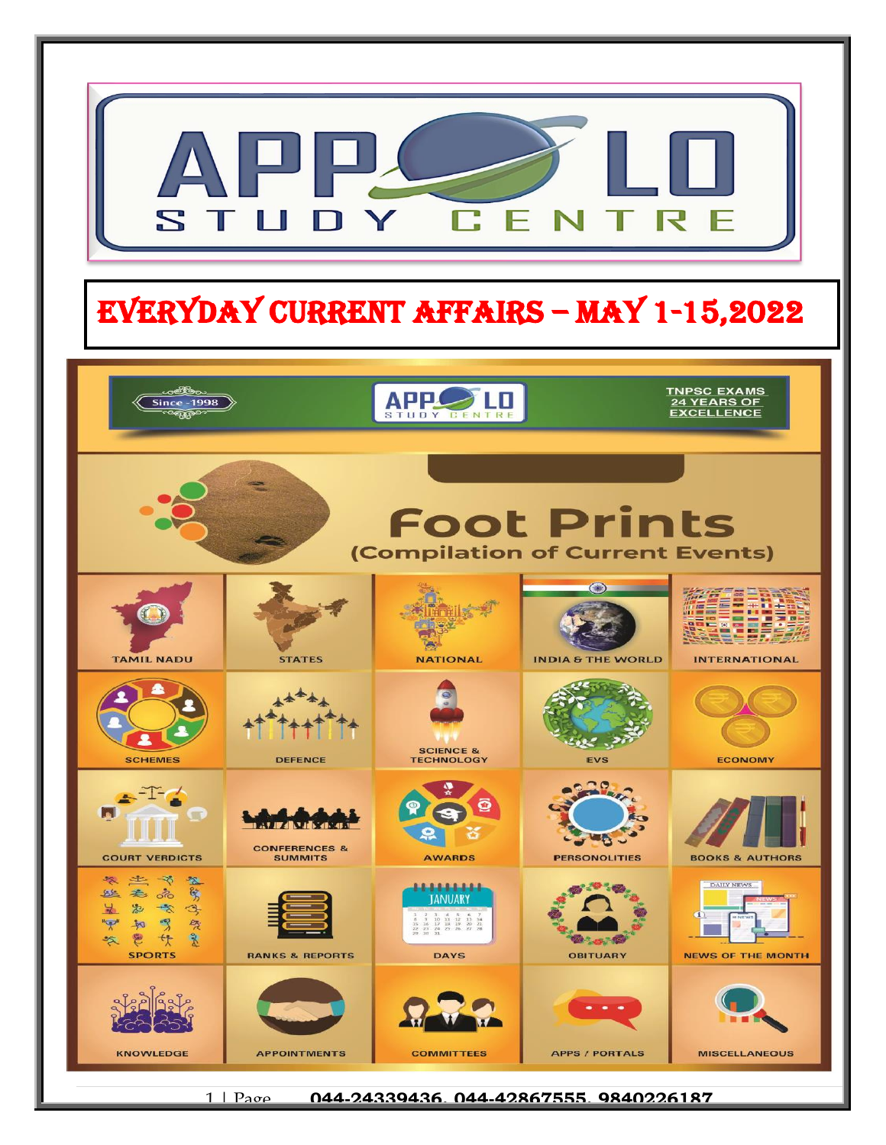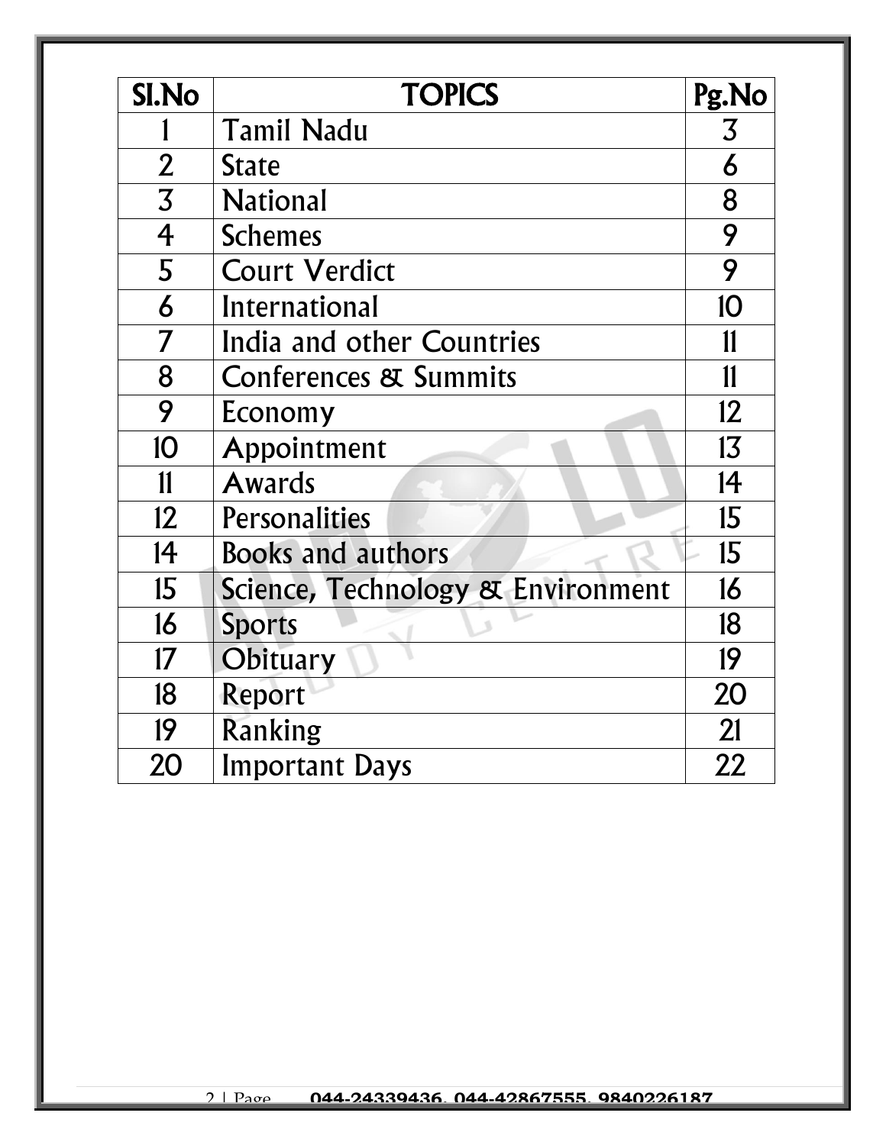| <b>SI.No</b>          | <b>TOPICS</b>                     | Pg.No          |
|-----------------------|-----------------------------------|----------------|
|                       | <b>Tamil Nadu</b>                 | $\overline{3}$ |
| $\overline{2}$        | <b>State</b>                      | 6              |
| $\overline{3}$        | <b>National</b>                   | 8              |
| $\overline{4}$        | <b>Schemes</b>                    | 9              |
| 5                     | <b>Court Verdict</b>              | 9              |
| $\boldsymbol{\delta}$ | International                     | 10             |
| $\overline{7}$        | India and other Countries         | 11             |
| 8                     | <b>Conferences &amp; Summits</b>  | $\mathbf{11}$  |
| 9                     | Economy                           | 12             |
| 10                    | Appointment                       | 13             |
| $\mathbf{11}$         | <b>Awards</b>                     | 14             |
| 12                    | Personalities                     | 15             |
| 14                    | <b>Books and authors</b>          | 15             |
| 15                    | Science, Technology & Environment | 16             |
| 16                    | <b>Sports</b>                     | 18             |
| 17                    | Obituary                          | 19             |
| 18                    | Report                            | 20             |
| 19                    | Ranking                           | 21             |
| 20                    | <b>Important Days</b>             | 22             |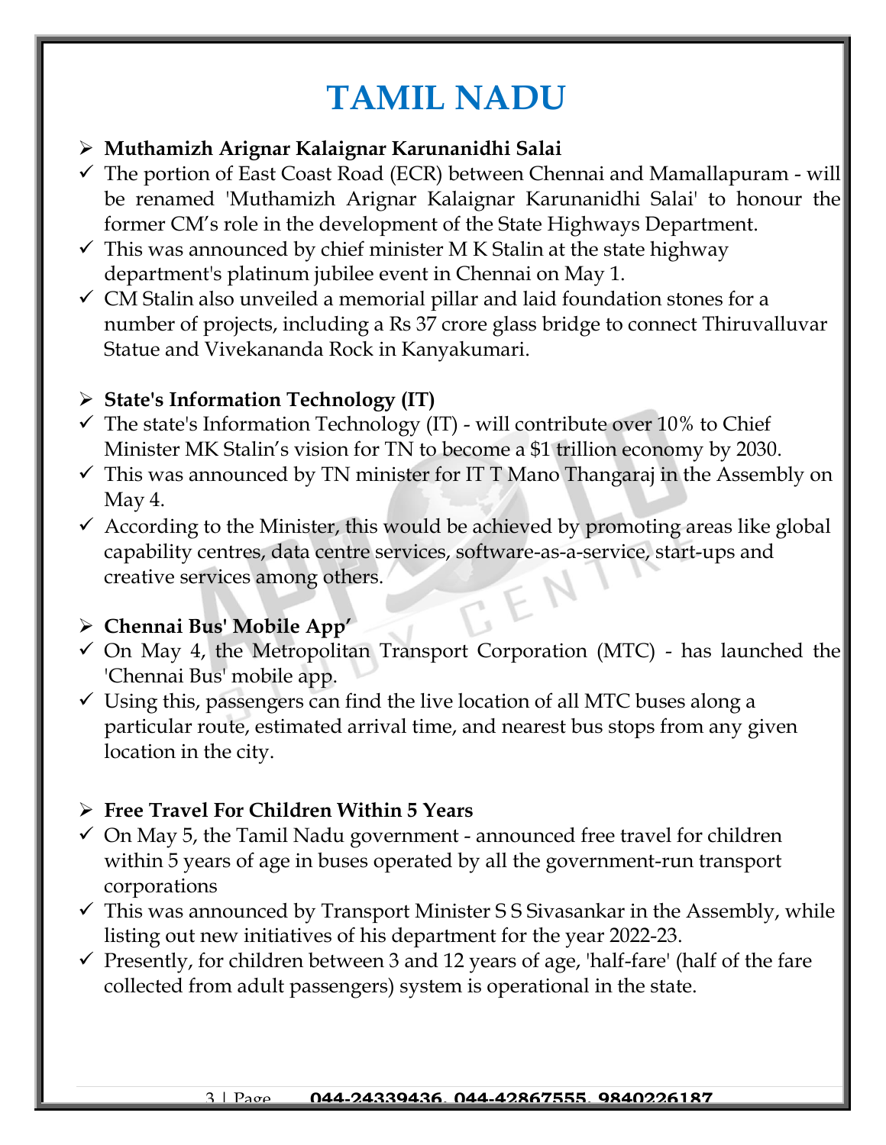## **TAMIL NADU**

### ➢ **Muthamizh Arignar Kalaignar Karunanidhi Salai**

- $\checkmark$  The portion of East Coast Road (ECR) between Chennai and Mamallapuram will be renamed 'Muthamizh Arignar Kalaignar Karunanidhi Salai' to honour the former CM's role in the development of the State Highways Department.
- $\checkmark$  This was announced by chief minister M K Stalin at the state highway department's platinum jubilee event in Chennai on May 1.
- $\checkmark$  CM Stalin also unveiled a memorial pillar and laid foundation stones for a number of projects, including a Rs 37 crore glass bridge to connect Thiruvalluvar Statue and Vivekananda Rock in Kanyakumari.

## ➢ **State's Information Technology (IT)**

- $\checkmark$  The state's Information Technology (IT) will contribute over 10% to Chief Minister MK Stalin's vision for TN to become a \$1 trillion economy by 2030.
- $\checkmark$  This was announced by TN minister for IT T Mano Thangaraj in the Assembly on May 4.
- $\checkmark$  According to the Minister, this would be achieved by promoting areas like global capability centres, data centre services, software-as-a-service, start-ups and creative services among others.

## ➢ **Chennai Bus' Mobile App'**

- $\checkmark$  On May 4, the Metropolitan Transport Corporation (MTC) has launched the 'Chennai Bus' mobile app.
- $\checkmark$  Using this, passengers can find the live location of all MTC buses along a particular route, estimated arrival time, and nearest bus stops from any given location in the city.

## ➢ **Free Travel For Children Within 5 Years**

- $\checkmark$  On May 5, the Tamil Nadu government announced free travel for children within 5 years of age in buses operated by all the government-run transport corporations
- $\checkmark$  This was announced by Transport Minister SS Sivasankar in the Assembly, while listing out new initiatives of his department for the year 2022-23.
- $\checkmark$  Presently, for children between 3 and 12 years of age, 'half-fare' (half of the fare collected from adult passengers) system is operational in the state.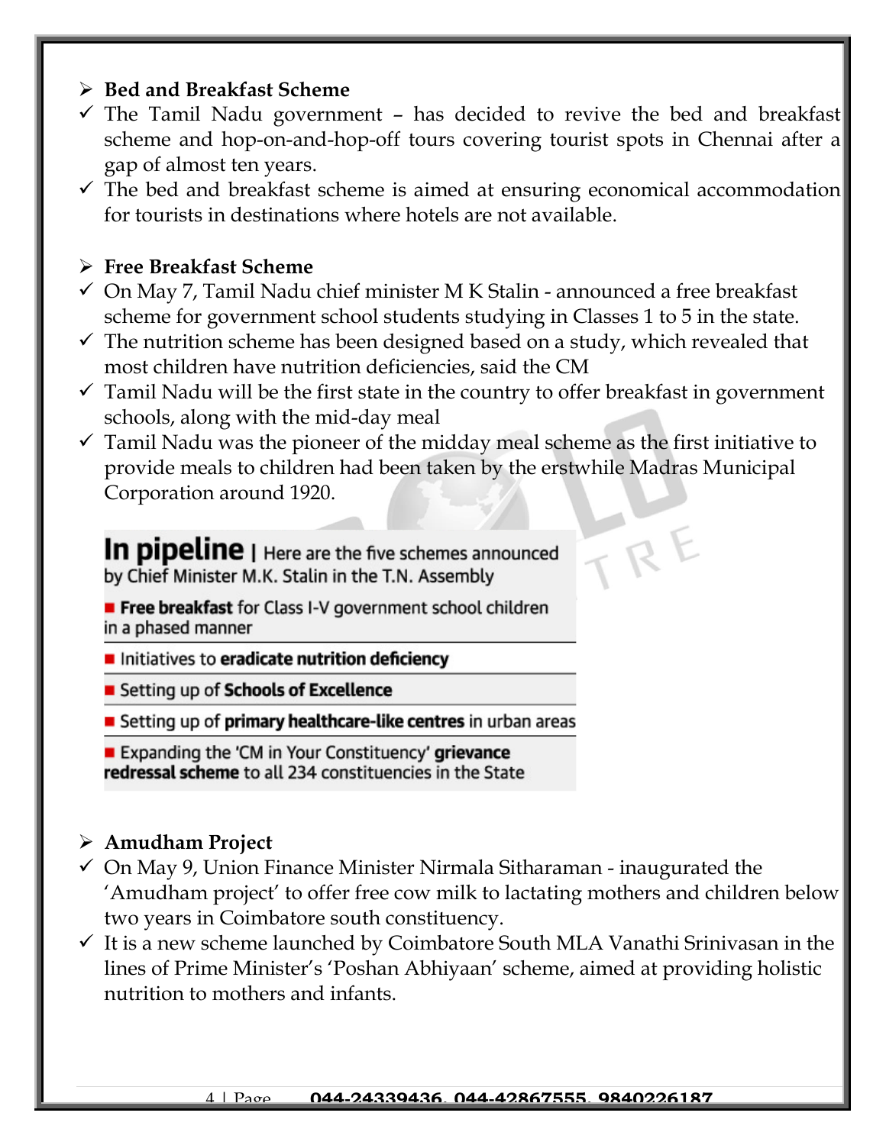#### ➢ **Bed and Breakfast Scheme**

- $\checkmark$  The Tamil Nadu government has decided to revive the bed and breakfast scheme and hop-on-and-hop-off tours covering tourist spots in Chennai after a gap of almost ten years.
- ✓ The bed and breakfast scheme is aimed at ensuring economical accommodation for tourists in destinations where hotels are not available.

#### ➢ **Free Breakfast Scheme**

- $\checkmark$  On May 7, Tamil Nadu chief minister M K Stalin announced a free breakfast scheme for government school students studying in Classes 1 to 5 in the state.
- $\checkmark$  The nutrition scheme has been designed based on a study, which revealed that most children have nutrition deficiencies, said the CM
- $\checkmark$  Tamil Nadu will be the first state in the country to offer breakfast in government schools, along with the mid-day meal
- $\checkmark$  Tamil Nadu was the pioneer of the midday meal scheme as the first initiative to provide meals to children had been taken by the erstwhile Madras Municipal Corporation around 1920.

 $R$ 

In pipeline | Here are the five schemes announced by Chief Minister M.K. Stalin in the T.N. Assembly

- Free breakfast for Class I-V government school children in a phased manner
- Initiatives to eradicate nutrition deficiency
- Setting up of Schools of Excellence
- Setting up of **primary healthcare-like centres** in urban areas

Expanding the 'CM in Your Constituency' grievance redressal scheme to all 234 constituencies in the State

#### ➢ **Amudham Project**

- $\checkmark$  On May 9, Union Finance Minister Nirmala Sitharaman inaugurated the 'Amudham project' to offer free cow milk to lactating mothers and children below two years in Coimbatore south constituency.
- $\checkmark$  It is a new scheme launched by Coimbatore South MLA Vanathi Srinivasan in the lines of Prime Minister's 'Poshan Abhiyaan' scheme, aimed at providing holistic nutrition to mothers and infants.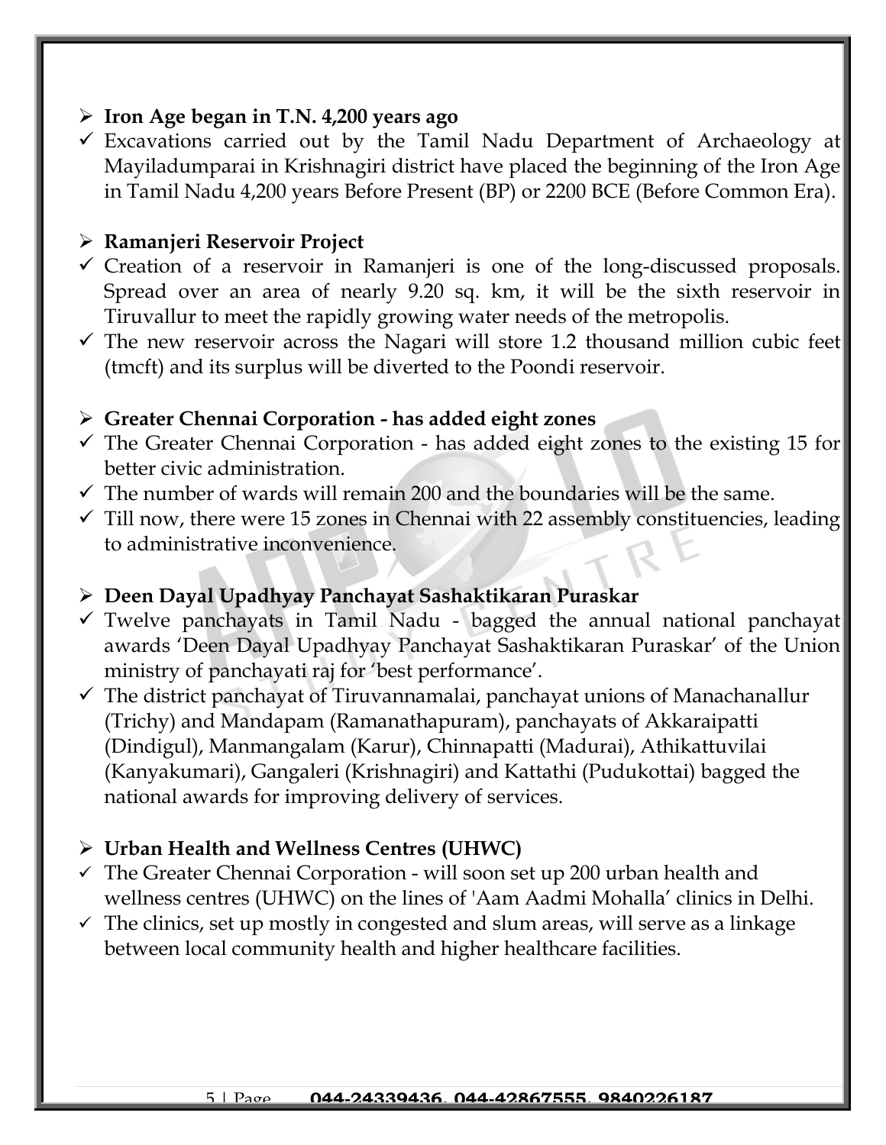#### ➢ **Iron Age began in T.N. 4,200 years ago**

 $\checkmark$  Excavations carried out by the Tamil Nadu Department of Archaeology at Mayiladumparai in Krishnagiri district have placed the beginning of the Iron Age in Tamil Nadu 4,200 years Before Present (BP) or 2200 BCE (Before Common Era).

#### ➢ **Ramanjeri Reservoir Project**

- ✓ Creation of a reservoir in Ramanjeri is one of the long-discussed proposals. Spread over an area of nearly 9.20 sq. km, it will be the sixth reservoir in Tiruvallur to meet the rapidly growing water needs of the metropolis.
- $\checkmark$  The new reservoir across the Nagari will store 1.2 thousand million cubic feet (tmcft) and its surplus will be diverted to the Poondi reservoir.

#### ➢ **Greater Chennai Corporation - has added eight zones**

- $\checkmark$  The Greater Chennai Corporation has added eight zones to the existing 15 for better civic administration.
- $\checkmark$  The number of wards will remain 200 and the boundaries will be the same.
- $\checkmark$  Till now, there were 15 zones in Chennai with 22 assembly constituencies, leading to administrative inconvenience.

#### ➢ **Deen Dayal Upadhyay Panchayat Sashaktikaran Puraskar**

- $\checkmark$  Twelve panchayats in Tamil Nadu bagged the annual national panchayat awards 'Deen Dayal Upadhyay Panchayat Sashaktikaran Puraskar' of the Union ministry of panchayati raj for 'best performance'.
- $\checkmark$  The district panchayat of Tiruvannamalai, panchayat unions of Manachanallur (Trichy) and Mandapam (Ramanathapuram), panchayats of Akkaraipatti (Dindigul), Manmangalam (Karur), Chinnapatti (Madurai), Athikattuvilai (Kanyakumari), Gangaleri (Krishnagiri) and Kattathi (Pudukottai) bagged the national awards for improving delivery of services.

## ➢ **Urban Health and Wellness Centres (UHWC)**

- $\checkmark$  The Greater Chennai Corporation will soon set up 200 urban health and wellness centres (UHWC) on the lines of 'Aam Aadmi Mohalla' clinics in Delhi.
- $\checkmark$  The clinics, set up mostly in congested and slum areas, will serve as a linkage between local community health and higher healthcare facilities.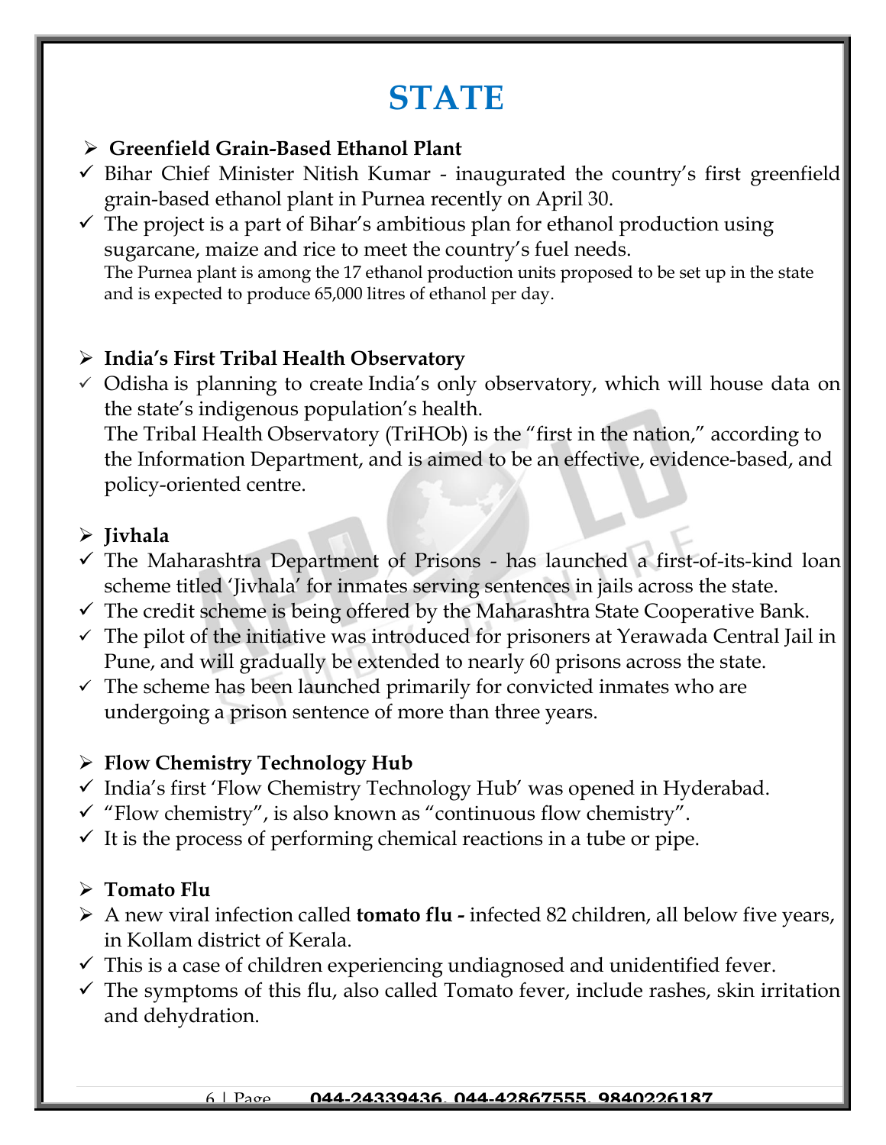## **STATE**

#### ➢ **Greenfield Grain-Based Ethanol Plant**

- $\checkmark$  Bihar Chief Minister Nitish Kumar inaugurated the country's first greenfield grain-based ethanol plant in Purnea recently on April 30.
- $\checkmark$  The project is a part of Bihar's ambitious plan for ethanol production using sugarcane, maize and rice to meet the country's fuel needs. The Purnea plant is among the 17 ethanol production units proposed to be set up in the state and is expected to produce 65,000 litres of ethanol per day.

### ➢ **India's First Tribal Health Observatory**

 $\checkmark$  Odisha is planning to create India's only observatory, which will house data on the state's indigenous population's health. The Tribal Health Observatory (TriHOb) is the "first in the nation," according to the Information Department, and is aimed to be an effective, evidence-based, and policy-oriented centre.

### ➢ **Jivhala**

- $\checkmark$  The Maharashtra Department of Prisons has launched a first-of-its-kind loan scheme titled 'Jivhala' for inmates serving sentences in jails across the state.
- $\checkmark$  The credit scheme is being offered by the Maharashtra State Cooperative Bank.
- $\checkmark$  The pilot of the initiative was introduced for prisoners at Yerawada Central Jail in Pune, and will gradually be extended to nearly 60 prisons across the state.
- $\checkmark$  The scheme has been launched primarily for convicted inmates who are undergoing a prison sentence of more than three years.

#### ➢ **Flow Chemistry Technology Hub**

- ✓ India's first 'Flow Chemistry Technology Hub' was opened in Hyderabad.
- $\checkmark$  "Flow chemistry", is also known as "continuous flow chemistry".
- $\checkmark$  It is the process of performing chemical reactions in a tube or pipe.

## ➢ **Tomato Flu**

- ➢ A new viral infection called **tomato flu -** infected 82 children, all below five years, in Kollam district of Kerala.
- $\checkmark$  This is a case of children experiencing undiagnosed and unidentified fever.
- $\checkmark$  The symptoms of this flu, also called Tomato fever, include rashes, skin irritation and dehydration.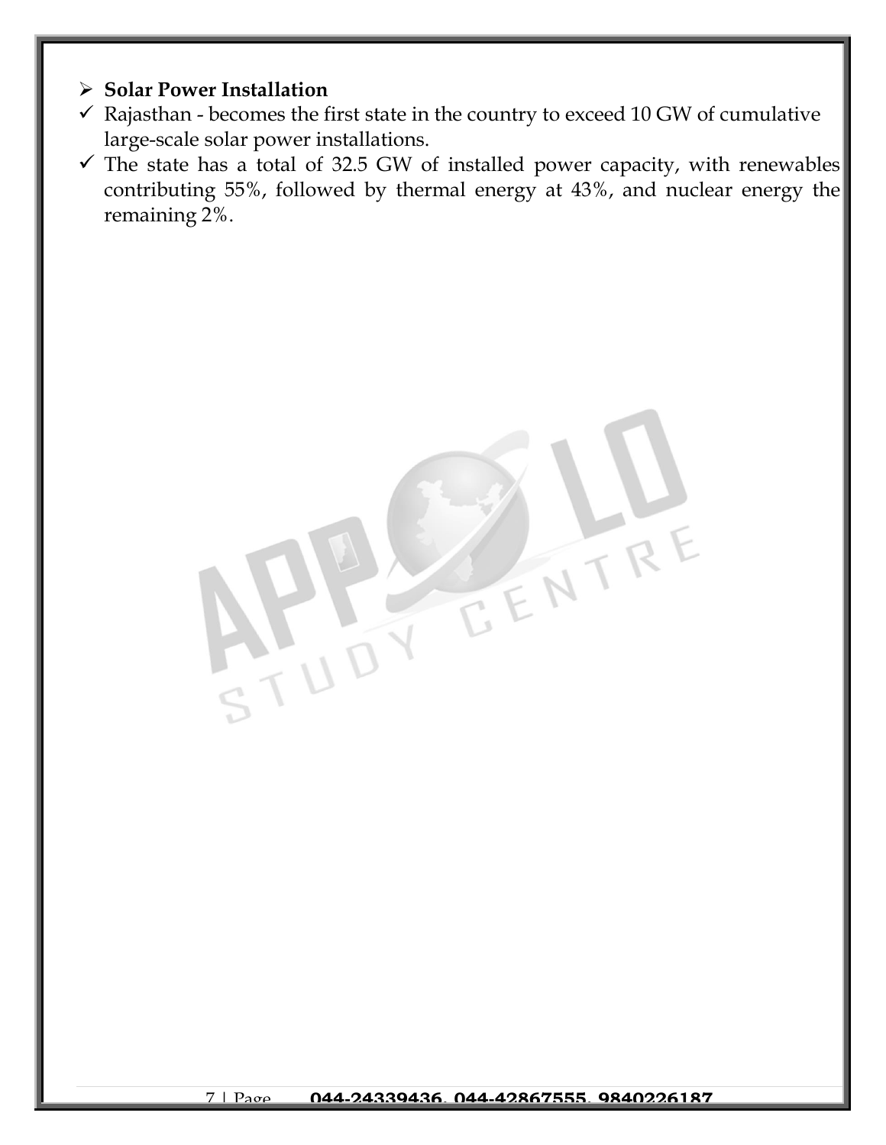#### ➢ **Solar Power Installation**

- $\checkmark$  Rajasthan becomes the first state in the country to exceed 10 GW of cumulative large-scale solar power installations.
- $\checkmark$  The state has a total of 32.5 GW of installed power capacity, with renewables contributing 55%, followed by thermal energy at 43%, and nuclear energy the remaining 2%.

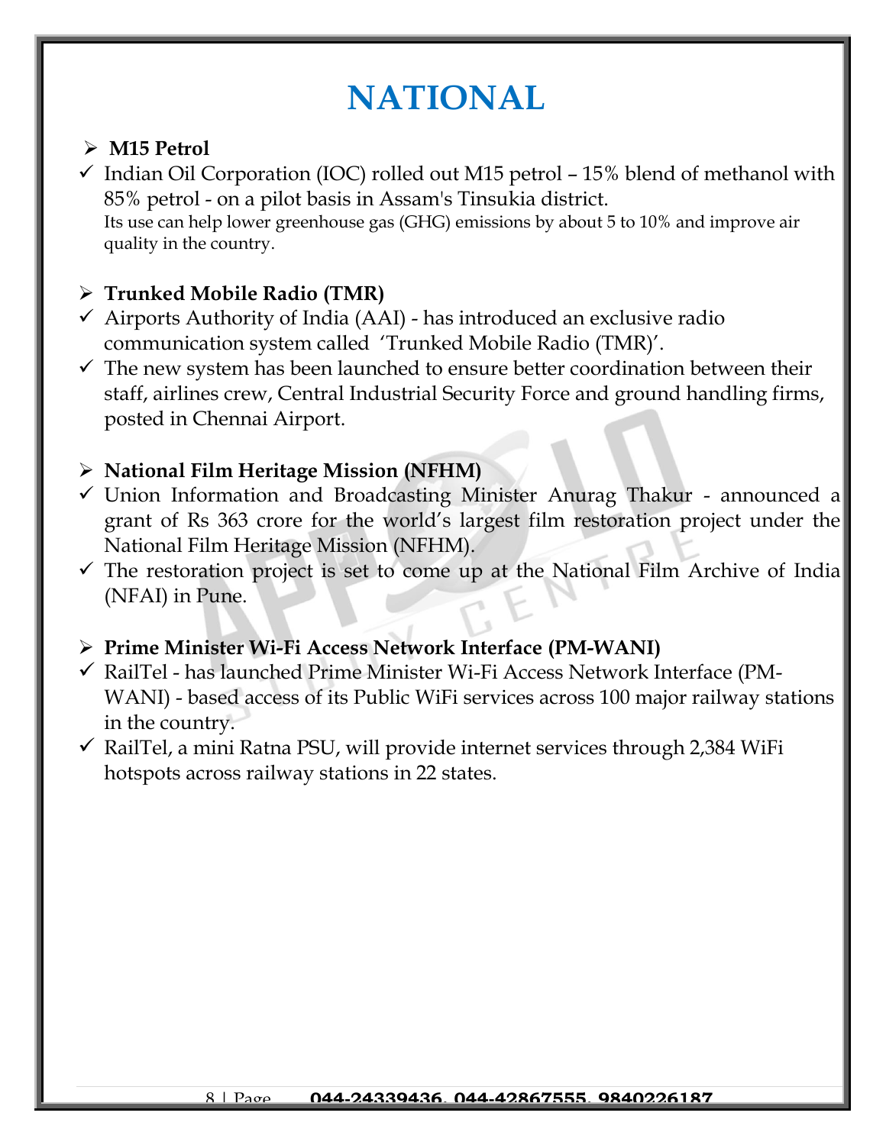## **NATIONAL**

## ➢ **M15 Petrol**

 $\checkmark$  Indian Oil Corporation (IOC) rolled out M15 petrol – 15% blend of methanol with 85% petrol - on a pilot basis in Assam's Tinsukia district. Its use can help lower greenhouse gas (GHG) emissions by about 5 to 10% and improve air quality in the country.

## ➢ **Trunked Mobile Radio (TMR)**

- $\checkmark$  Airports Authority of India (AAI) has introduced an exclusive radio communication system called 'Trunked Mobile Radio (TMR)'.
- $\checkmark$  The new system has been launched to ensure better coordination between their staff, airlines crew, Central Industrial Security Force and ground handling firms, posted in Chennai Airport.

### ➢ **National Film Heritage Mission (NFHM)**

- ✓ Union Information and Broadcasting Minister Anurag Thakur announced a grant of Rs 363 crore for the world's largest film restoration project under the National Film Heritage Mission (NFHM).
- $\checkmark$  The restoration project is set to come up at the National Film Archive of India (NFAI) in Pune.

#### ➢ **Prime Minister Wi-Fi Access Network Interface (PM-WANI)**

- ✓ RailTel has launched Prime Minister Wi-Fi Access Network Interface (PM-WANI) - based access of its Public WiFi services across 100 major railway stations in the country.
- $\checkmark$  RailTel, a mini Ratna PSU, will provide internet services through 2,384 WiFi hotspots across railway stations in 22 states.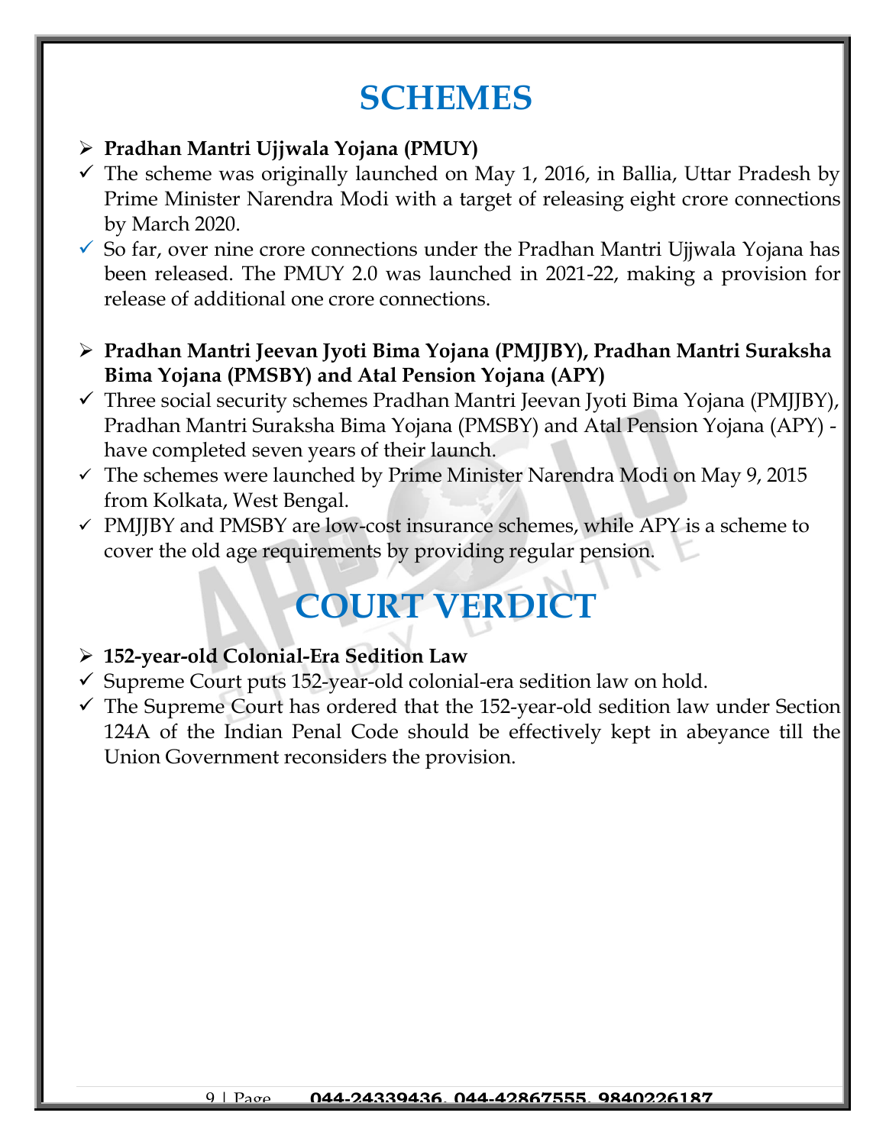## **SCHEMES**

#### ➢ **Pradhan Mantri Ujjwala Yojana (PMUY)**

- $\checkmark$  The scheme was originally launched on May 1, 2016, in Ballia, Uttar Pradesh by Prime Minister Narendra Modi with a target of releasing eight crore connections by March 2020.
- $\checkmark$  So far, over nine crore connections under the Pradhan Mantri Ujjwala Yojana has been released. The PMUY 2.0 was launched in 2021-22, making a provision for release of additional one crore connections.
- ➢ **Pradhan Mantri Jeevan Jyoti Bima Yojana (PMJJBY), Pradhan Mantri Suraksha Bima Yojana (PMSBY) and Atal Pension Yojana (APY)**
- ✓ Three social security schemes Pradhan Mantri Jeevan Jyoti Bima Yojana (PMJJBY), Pradhan Mantri Suraksha Bima Yojana (PMSBY) and Atal Pension Yojana (APY) have completed seven years of their launch.
- $\checkmark$  The schemes were launched by Prime Minister Narendra Modi on May 9, 2015 from Kolkata, West Bengal.
- $\checkmark$  PMJIBY and PMSBY are low-cost insurance schemes, while APY is a scheme to cover the old age requirements by providing regular pension.

# **COURT VERDICT**

#### ➢ **152-year-old Colonial-Era Sedition Law**

- ✓ Supreme Court puts 152-year-old colonial-era sedition law on hold.
- $\checkmark$  The Supreme Court has ordered that the 152-year-old sedition law under Section 124A of the Indian Penal Code should be effectively kept in abeyance till the Union Government reconsiders the provision.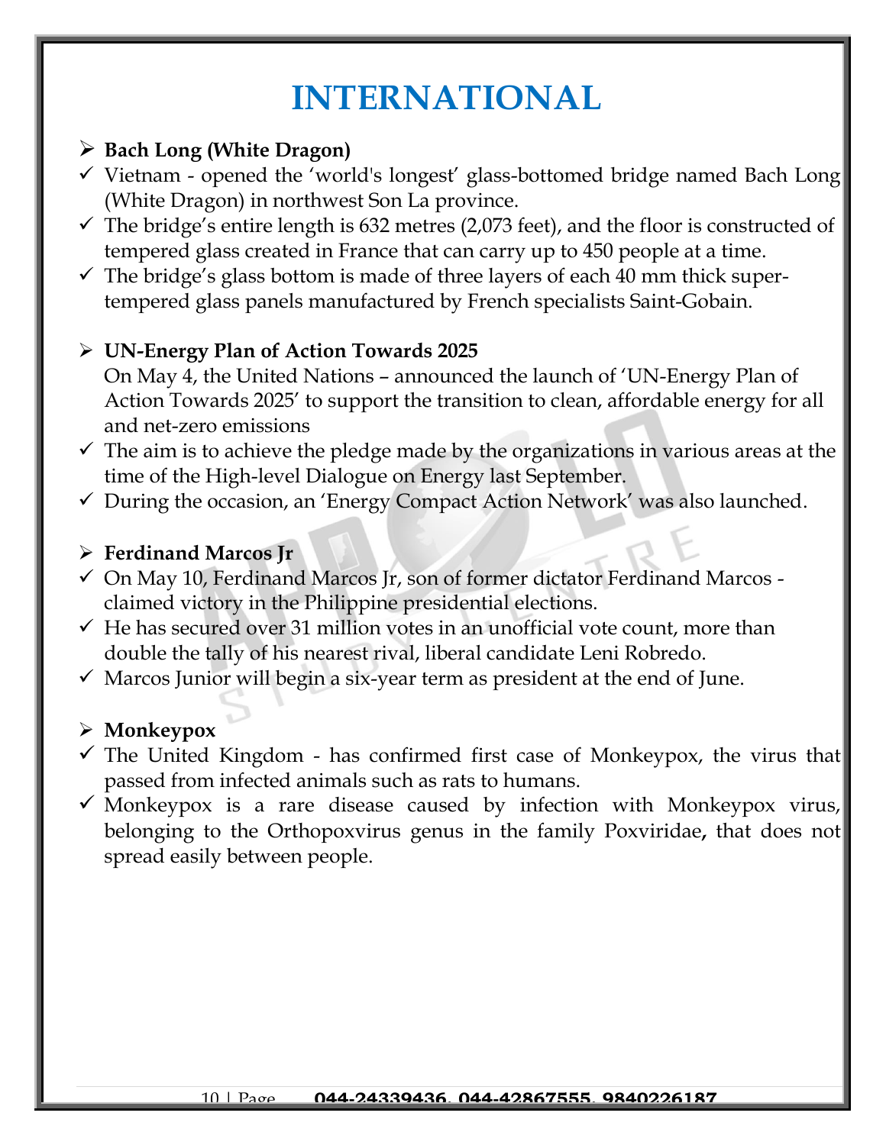## **INTERNATIONAL**

## ➢ **Bach Long (White Dragon)**

- ✓ Vietnam opened the 'world's longest' glass-bottomed bridge named Bach Long (White Dragon) in northwest Son La province.
- $\checkmark$  The bridge's entire length is 632 metres (2,073 feet), and the floor is constructed of tempered glass created in France that can carry up to 450 people at a time.
- $\checkmark$  The bridge's glass bottom is made of three layers of each 40 mm thick supertempered glass panels manufactured by French specialists Saint-Gobain.

## ➢ **UN-Energy Plan of Action Towards 2025**

- On May 4, the United Nations announced the launch of 'UN-Energy Plan of Action Towards 2025' to support the transition to clean, affordable energy for all and net-zero emissions
- $\checkmark$  The aim is to achieve the pledge made by the organizations in various areas at the time of the High-level Dialogue on Energy last September.
- $\checkmark$  During the occasion, an 'Energy Compact Action Network' was also launched.

#### ➢ **Ferdinand Marcos Jr**

- ✓ On May 10, Ferdinand Marcos Jr, son of former dictator Ferdinand Marcos claimed victory in the Philippine presidential elections.
- $\checkmark$  He has secured over 31 million votes in an unofficial vote count, more than double the tally of his nearest rival, liberal candidate Leni Robredo.
- $\checkmark$  Marcos Junior will begin a six-year term as president at the end of June.

#### ➢ **Monkeypox**

- $\checkmark$  The United Kingdom has confirmed first case of Monkeypox, the virus that passed from infected animals such as rats to humans.
- $\checkmark$  Monkeypox is a rare disease caused by infection with Monkeypox virus, belonging to the Orthopoxvirus genus in the family Poxviridae**,** that does not spread easily between people.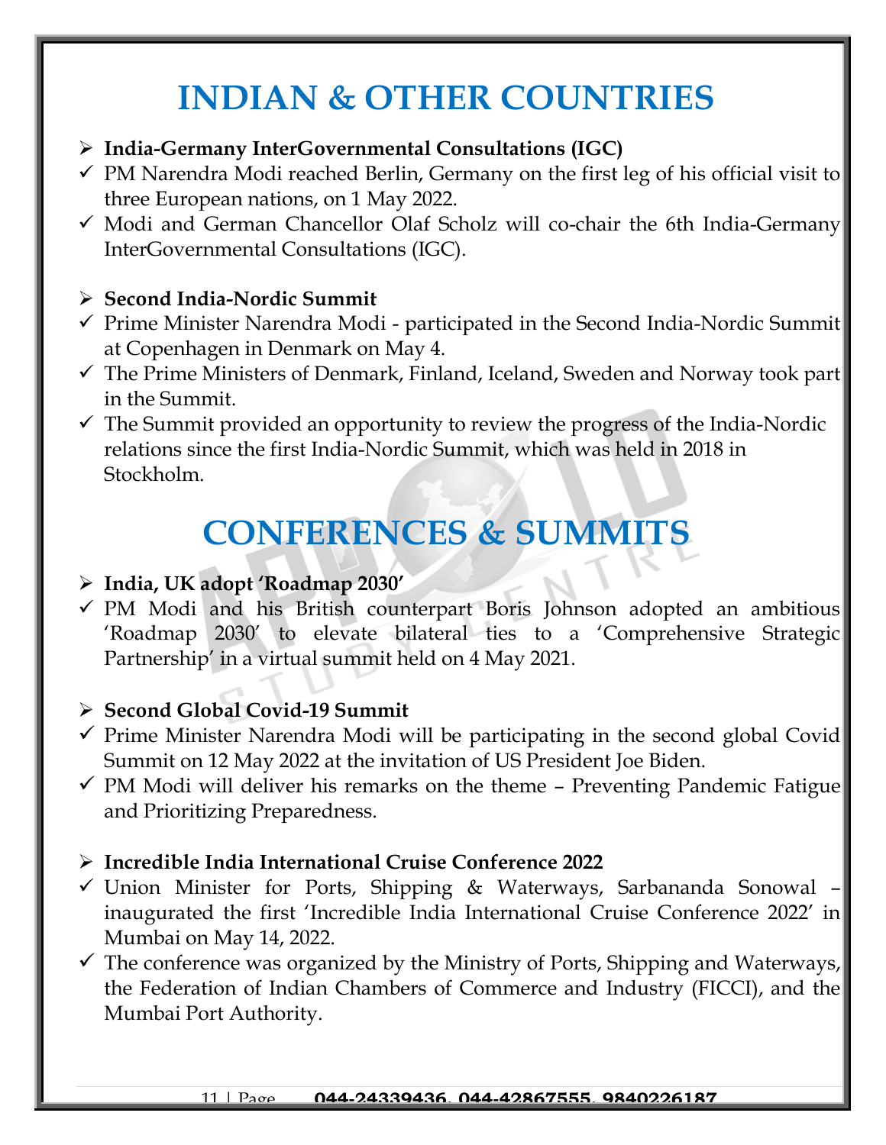## **INDIAN & OTHER COUNTRIES**

### ➢ **India-Germany InterGovernmental Consultations (IGC)**

- $\checkmark$  PM Narendra Modi reached Berlin, Germany on the first leg of his official visit to three European nations, on 1 May 2022.
- ✓ Modi and German Chancellor Olaf Scholz will co-chair the 6th India-Germany InterGovernmental Consultations (IGC).

## ➢ **Second India-Nordic Summit**

- ✓ Prime Minister Narendra Modi participated in the Second India-Nordic Summit at Copenhagen in Denmark on May 4.
- $\checkmark$  The Prime Ministers of Denmark, Finland, Iceland, Sweden and Norway took part in the Summit.
- $\checkmark$  The Summit provided an opportunity to review the progress of the India-Nordic relations since the first India-Nordic Summit, which was held in 2018 in Stockholm.

## **CONFERENCES & SUMMITS**

## ➢ **India, UK adopt 'Roadmap 2030'**

✓ PM Modi and his British counterpart Boris Johnson adopted an ambitious 'Roadmap 2030' to elevate bilateral ties to a 'Comprehensive Strategic Partnership' in a virtual summit held on 4 May 2021.

## ➢ **Second Global Covid-19 Summit**

- $\checkmark$  Prime Minister Narendra Modi will be participating in the second global Covid Summit on 12 May 2022 at the invitation of US President Joe Biden.
- $\checkmark$  PM Modi will deliver his remarks on the theme Preventing Pandemic Fatigue and Prioritizing Preparedness.

## ➢ **Incredible India International Cruise Conference 2022**

- ✓ Union Minister for Ports, Shipping & Waterways, Sarbananda Sonowal inaugurated the first 'Incredible India International Cruise Conference 2022' in Mumbai on May 14, 2022.
- $\checkmark$  The conference was organized by the Ministry of Ports, Shipping and Waterways, the Federation of Indian Chambers of Commerce and Industry (FICCI), and the Mumbai Port Authority.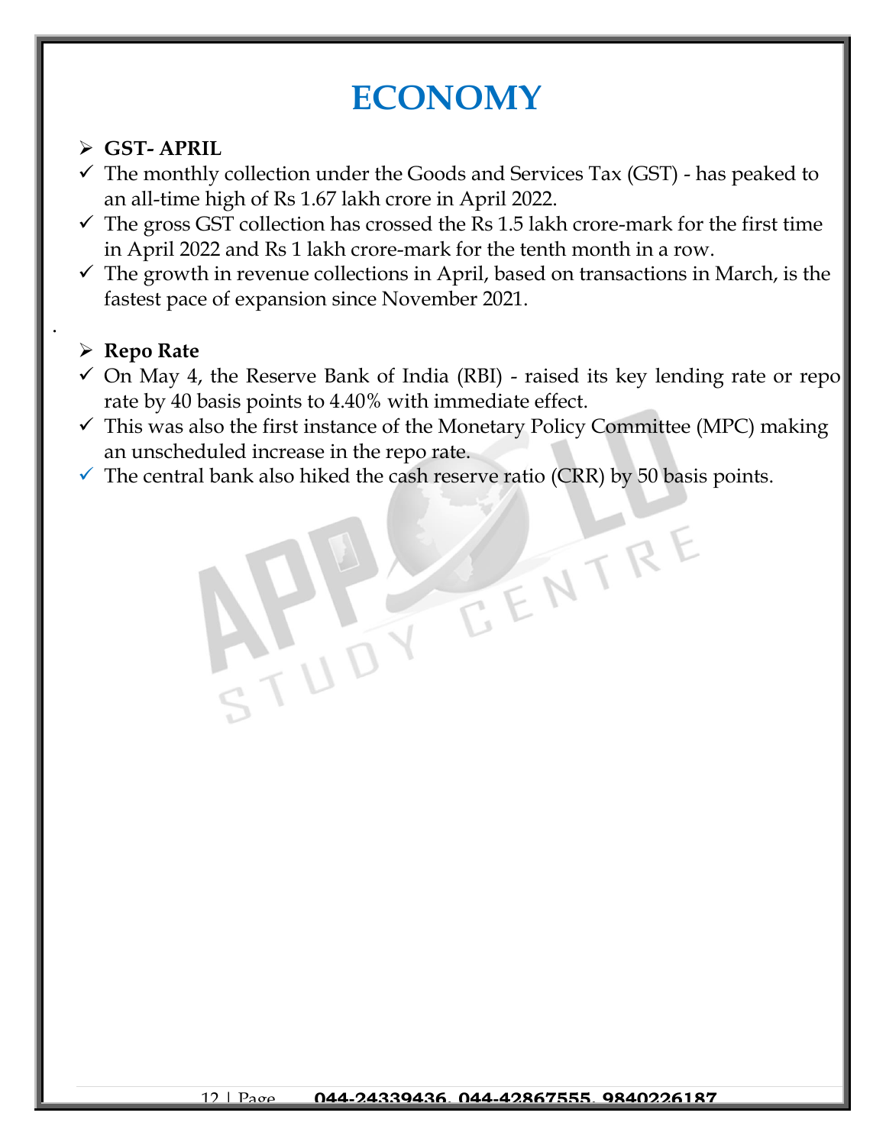## **ECONOMY**

## ➢ **GST- APRIL**

- $\checkmark$  The monthly collection under the Goods and Services Tax (GST) has peaked to an all-time high of Rs 1.67 lakh crore in April 2022.
- $\checkmark$  The gross GST collection has crossed the Rs 1.5 lakh crore-mark for the first time in April 2022 and Rs 1 lakh crore-mark for the tenth month in a row.
- $\checkmark$  The growth in revenue collections in April, based on transactions in March, is the fastest pace of expansion since November 2021.

## ➢ **Repo Rate**

.

- $\checkmark$  On May 4, the Reserve Bank of India (RBI) raised its key lending rate or repo rate by 40 basis points to 4.40% with immediate effect.
- $\checkmark$  This was also the first instance of the Monetary Policy Committee (MPC) making an unscheduled increase in the repo rate.

ENTRE

 $\checkmark$  The central bank also hiked the cash reserve ratio (CRR) by 50 basis points.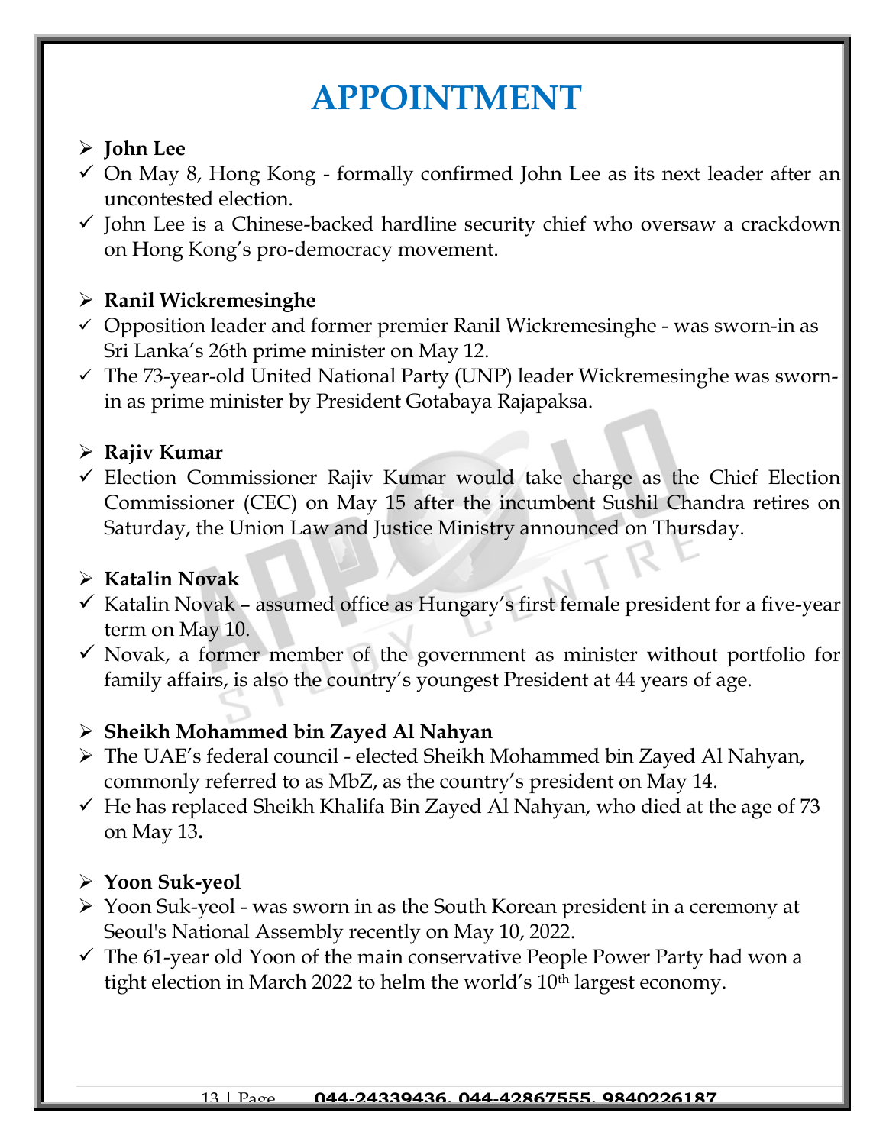## **APPOINTMENT**

## ➢ **John Lee**

- $\checkmark$  On May 8, Hong Kong formally confirmed John Lee as its next leader after an uncontested election.
- $\checkmark$  John Lee is a Chinese-backed hardline security chief who oversaw a crackdown on Hong Kong's pro-democracy movement.

## ➢ **Ranil Wickremesinghe**

- ✓ Opposition leader and former premier Ranil Wickremesinghe was sworn-in as Sri Lanka's 26th prime minister on May 12.
- ✓ The 73-year-old United National Party (UNP) leader Wickremesinghe was swornin as prime minister by President Gotabaya Rajapaksa.

## ➢ **Rajiv Kumar**

 $\checkmark$  Election Commissioner Rajiv Kumar would take charge as the Chief Election Commissioner (CEC) on May 15 after the incumbent Sushil Chandra retires on Saturday, the Union Law and Justice Ministry announced on Thursday.

### ➢ **Katalin Novak**

- $\checkmark$  Katalin Novak assumed office as Hungary's first female president for a five-year term on May 10.
- $\checkmark$  Novak, a former member of the government as minister without portfolio for family affairs, is also the country's youngest President at 44 years of age.

#### ➢ **Sheikh Mohammed bin Zayed Al Nahyan**

- ➢ The UAE's federal council elected Sheikh Mohammed bin Zayed Al Nahyan, commonly referred to as MbZ, as the country's president on May 14.
- $\checkmark$  He has replaced Sheikh Khalifa Bin Zayed Al Nahyan, who died at the age of 73 on May 13**.**

## ➢ **Yoon Suk-yeol**

- ➢ Yoon Suk-yeol was sworn in as the South Korean president in a ceremony at Seoul's National Assembly recently on May 10, 2022.
- $\checkmark$  The 61-year old Yoon of the main conservative People Power Party had won a tight election in March 2022 to helm the world's 10<sup>th</sup> largest economy.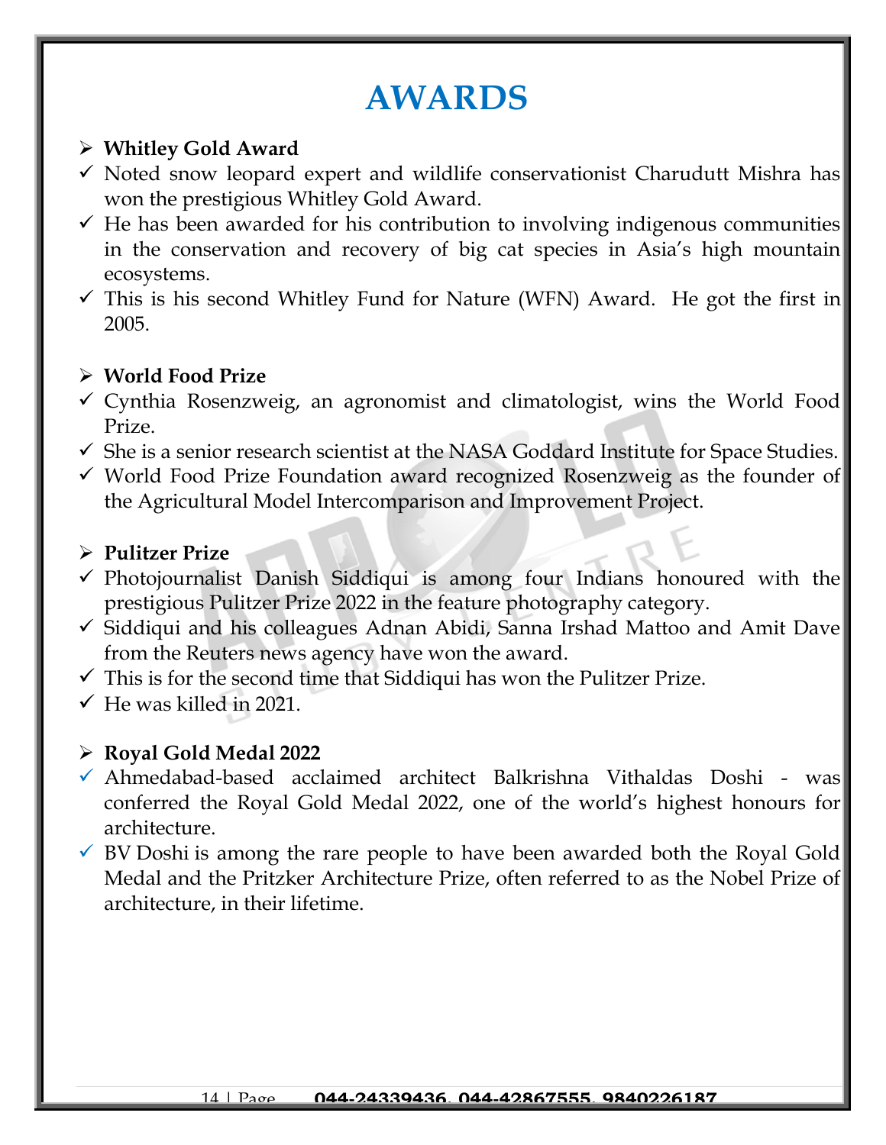## **AWARDS**

### ➢ **Whitley Gold Award**

- ✓ Noted snow leopard expert and wildlife conservationist Charudutt Mishra has won the prestigious Whitley Gold Award.
- $\checkmark$  He has been awarded for his contribution to involving indigenous communities in the conservation and recovery of big cat species in Asia's high mountain ecosystems.
- $\checkmark$  This is his second Whitley Fund for Nature (WFN) Award. He got the first in 2005.

### ➢ **World Food Prize**

- $\checkmark$  Cynthia Rosenzweig, an agronomist and climatologist, wins the World Food Prize.
- $\checkmark$  She is a senior research scientist at the NASA Goddard Institute for Space Studies.
- ✓ World Food Prize Foundation award recognized Rosenzweig as the founder of the Agricultural Model Intercomparison and Improvement Project.

### ➢ **Pulitzer Prize**

- ✓ Photojournalist Danish Siddiqui is among four Indians honoured with the prestigious Pulitzer Prize 2022 in the feature photography category.
- ✓ Siddiqui and his colleagues Adnan Abidi, Sanna Irshad Mattoo and Amit Dave from the Reuters news agency have won the award.
- $\checkmark$  This is for the second time that Siddiqui has won the Pulitzer Prize.
- $\checkmark$  He was killed in 2021.

## ➢ **Royal Gold Medal 2022**

- ✓ Ahmedabad-based acclaimed architect Balkrishna Vithaldas Doshi was conferred the Royal Gold Medal 2022, one of the world's highest honours for architecture.
- $\checkmark$  BV Doshi is among the rare people to have been awarded both the Royal Gold Medal and the Pritzker Architecture Prize, often referred to as the Nobel Prize of architecture, in their lifetime.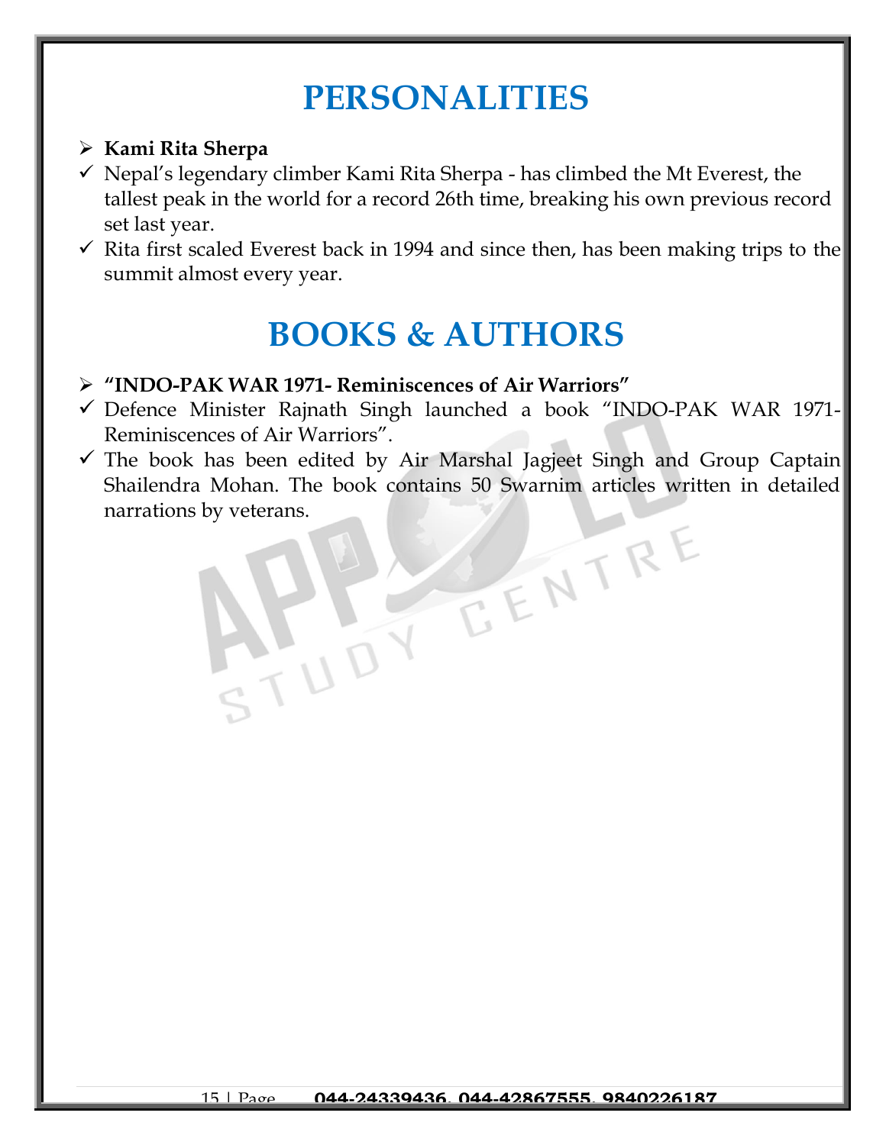## **PERSONALITIES**

## ➢ **Kami Rita Sherpa**

- ✓ Nepal's legendary climber Kami Rita Sherpa has climbed the Mt Everest, the tallest peak in the world for a record 26th time, breaking his own previous record set last year.
- $\checkmark$  Rita first scaled Everest back in 1994 and since then, has been making trips to the summit almost every year.

## **BOOKS & AUTHORS**

- ➢ **"INDO-PAK WAR 1971- Reminiscences of Air Warriors"**
- ✓ Defence Minister Rajnath Singh launched a book "INDO-PAK WAR 1971- Reminiscences of Air Warriors".
- $\checkmark$  The book has been edited by Air Marshal Jagjeet Singh and Group Captain Shailendra Mohan. The book contains 50 Swarnim articles written in detailed narrations by veterans.EENTRE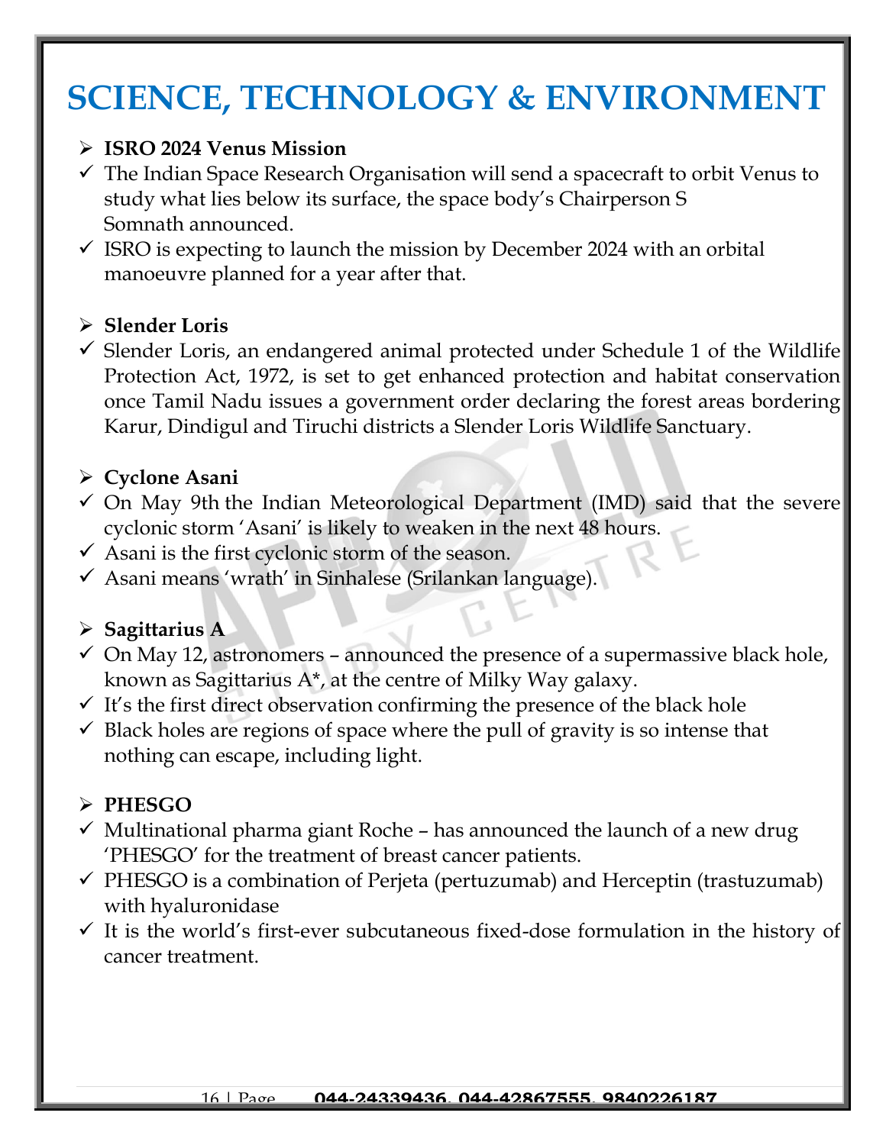## **SCIENCE, TECHNOLOGY & ENVIRONMENT**

#### ➢ **ISRO 2024 Venus Mission**

- $\checkmark$  The Indian Space Research Organisation will send a spacecraft to orbit Venus to study what lies below its surface, the space body's Chairperson S Somnath announced.
- $\checkmark$  ISRO is expecting to launch the mission by December 2024 with an orbital manoeuvre planned for a year after that.

#### ➢ **Slender Loris**

 $\checkmark$  Slender Loris, an endangered animal protected under Schedule 1 of the Wildlife Protection Act, 1972, is set to get enhanced protection and habitat conservation once Tamil Nadu issues a government order declaring the forest areas bordering Karur, Dindigul and Tiruchi districts a Slender Loris Wildlife Sanctuary.

#### ➢ **Cyclone Asani**

- $\checkmark$  On May 9th the Indian Meteorological Department (IMD) said that the severe cyclonic storm 'Asani' is likely to weaken in the next 48 hours.
- $\checkmark$  Asani is the first cyclonic storm of the season.
- ✓ Asani means 'wrath' in Sinhalese (Srilankan language).

#### ➢ **Sagittarius A**

- $\checkmark$  On May 12, astronomers announced the presence of a supermassive black hole, known as Sagittarius A\*, at the centre of Milky Way galaxy.
- $\checkmark$  It's the first direct observation confirming the presence of the black hole
- $\checkmark$  Black holes are regions of space where the pull of gravity is so intense that nothing can escape, including light.

#### ➢ **PHESGO**

- $\checkmark$  Multinational pharma giant Roche has announced the launch of a new drug 'PHESGO' for the treatment of breast cancer patients.
- $\checkmark$  PHESGO is a combination of Perjeta (pertuzumab) and Herceptin (trastuzumab) with hyaluronidase
- $\checkmark$  It is the world's first-ever subcutaneous fixed-dose formulation in the history of cancer treatment.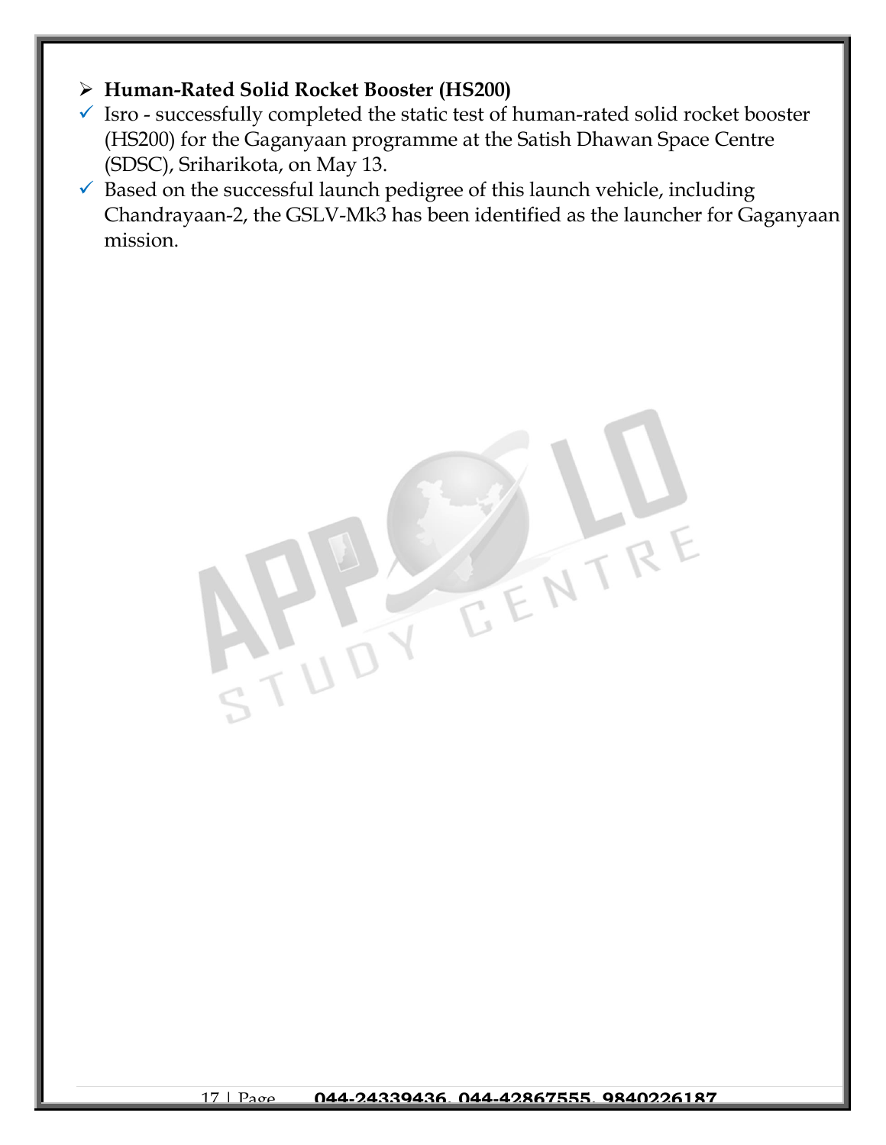## ➢ **Human-Rated Solid Rocket Booster (HS200)**

- $\checkmark$  Isro successfully completed the static test of human-rated solid rocket booster (HS200) for the Gaganyaan programme at the Satish Dhawan Space Centre (SDSC), Sriharikota, on May 13.
- $\checkmark$  Based on the successful launch pedigree of this launch vehicle, including Chandrayaan-2, the GSLV-Mk3 has been identified as the launcher for Gaganyaan mission.

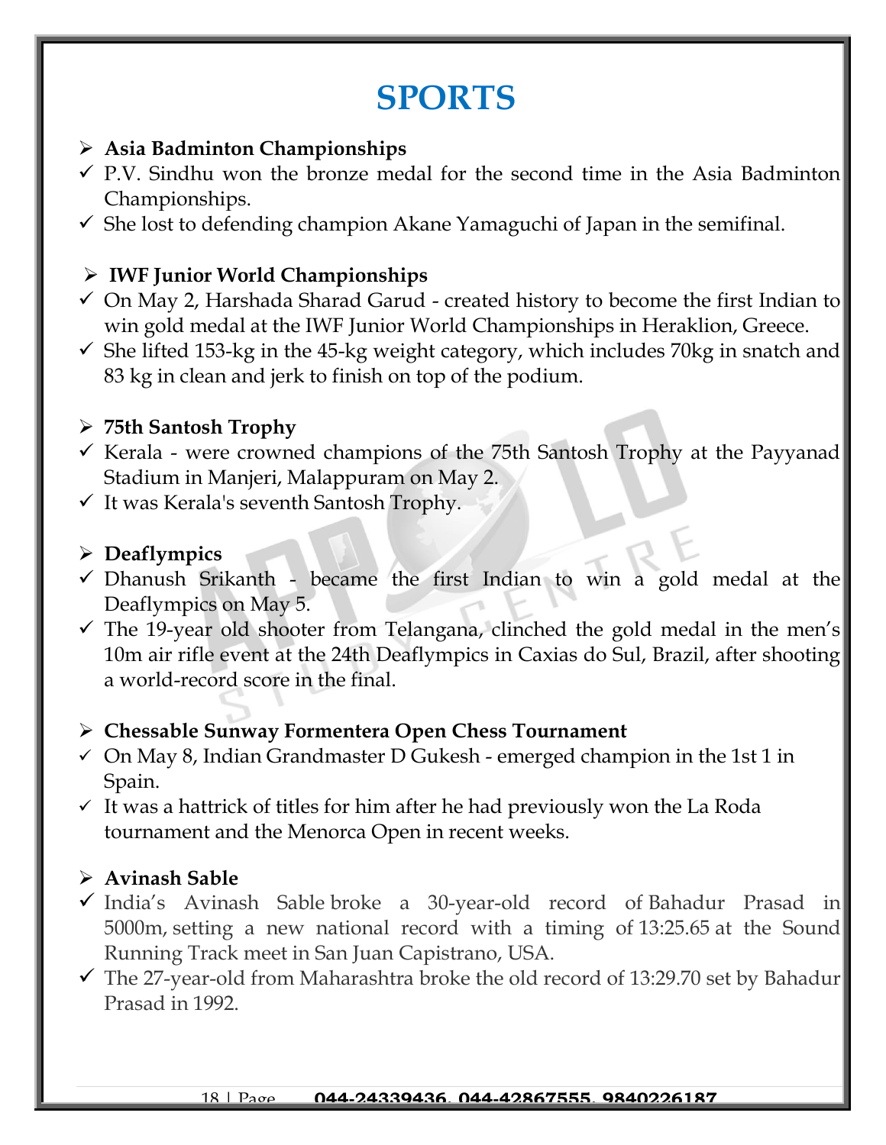## **SPORTS**

#### ➢ **Asia Badminton Championships**

- $\checkmark$  P.V. Sindhu won the bronze medal for the second time in the Asia Badminton Championships.
- $\checkmark$  She lost to defending champion Akane Yamaguchi of Japan in the semifinal.

## ➢ **IWF Junior World Championships**

- $\checkmark$  On May 2, Harshada Sharad Garud created history to become the first Indian to win gold medal at the IWF Junior World Championships in Heraklion, Greece.
- $\checkmark$  She lifted 153-kg in the 45-kg weight category, which includes 70kg in snatch and 83 kg in clean and jerk to finish on top of the podium.

#### ➢ **75th Santosh Trophy**

- $\checkmark$  Kerala were crowned champions of the 75th Santosh Trophy at the Payyanad Stadium in Manjeri, Malappuram on May 2.
- $\checkmark$  It was Kerala's seventh Santosh Trophy.

#### ➢ **Deaflympics**

- $\checkmark$  Dhanush Srikanth became the first Indian to win a gold medal at the Deaflympics on May 5.
- $\checkmark$  The 19-year old shooter from Telangana, clinched the gold medal in the men's 10m air rifle event at the 24th Deaflympics in Caxias do Sul, Brazil, after shooting a world-record score in the final.

#### ➢ **Chessable Sunway Formentera Open Chess Tournament**

- $\checkmark$  On May 8, Indian Grandmaster D Gukesh emerged champion in the 1st 1 in Spain.
- $\checkmark$  It was a hattrick of titles for him after he had previously won the La Roda tournament and the Menorca Open in recent weeks.

## ➢ **Avinash Sable**

- ✓ India's Avinash Sable broke a 30-year-old record of Bahadur Prasad in 5000m, setting a new national record with a timing of 13:25.65 at the Sound Running Track meet in San Juan Capistrano, USA.
- $\checkmark$  The 27-year-old from Maharashtra broke the old record of 13:29.70 set by Bahadur Prasad in 1992.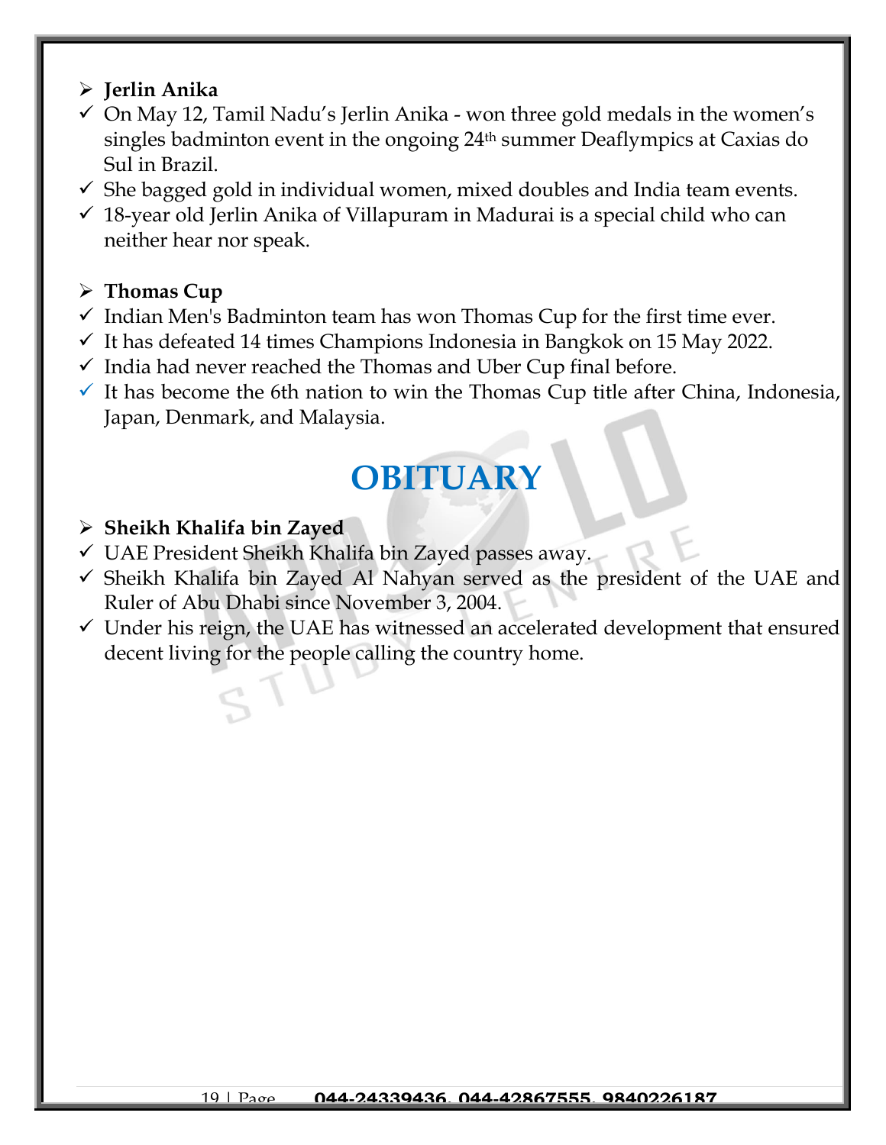#### ➢ **Jerlin Anika**

- $\checkmark$  On May 12, Tamil Nadu's Jerlin Anika won three gold medals in the women's singles badminton event in the ongoing 24th summer Deaflympics at Caxias do Sul in Brazil.
- $\checkmark$  She bagged gold in individual women, mixed doubles and India team events.
- $\checkmark$  18-year old Jerlin Anika of Villapuram in Madurai is a special child who can neither hear nor speak.

#### ➢ **Thomas Cup**

- $\checkmark$  Indian Men's Badminton team has won Thomas Cup for the first time ever.
- $\checkmark$  It has defeated 14 times Champions Indonesia in Bangkok on 15 May 2022.
- $\checkmark$  India had never reached the Thomas and Uber Cup final before.
- $\checkmark$  It has become the 6th nation to win the Thomas Cup title after China, Indonesia, Japan, Denmark, and Malaysia.

## **OBITUARY**

### ➢ **Sheikh Khalifa bin Zayed**

- $\checkmark$  UAE President Sheikh Khalifa bin Zayed passes away.
- ✓ Sheikh Khalifa bin Zayed Al Nahyan served as the president of the UAE and Ruler of Abu Dhabi since November 3, 2004.
- $\checkmark$  Under his reign, the UAE has witnessed an accelerated development that ensured decent living for the people calling the country home.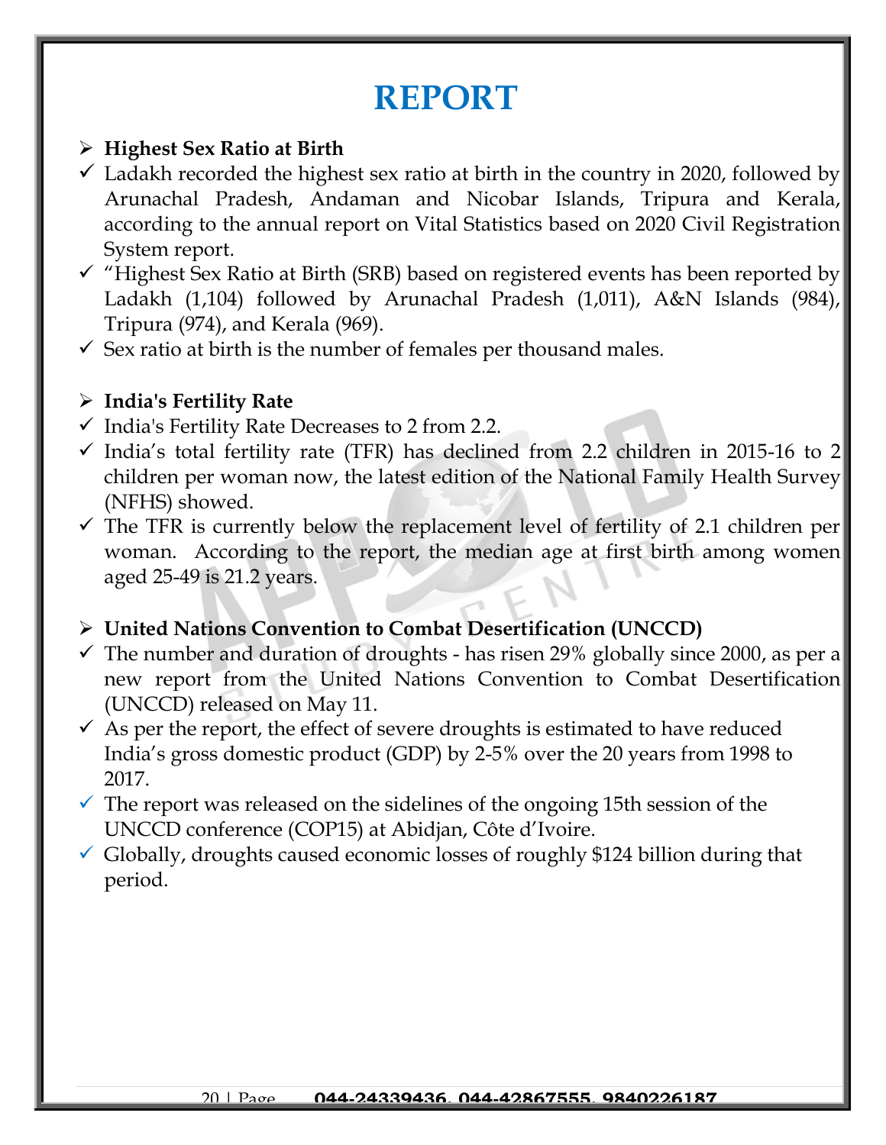## **REPORT**

#### ➢ **Highest Sex Ratio at Birth**

- $\checkmark$  Ladakh recorded the highest sex ratio at birth in the country in 2020, followed by Arunachal Pradesh, Andaman and Nicobar Islands, Tripura and Kerala, according to the annual report on Vital Statistics based on 2020 Civil Registration System report.
- ✓ "Highest Sex Ratio at Birth (SRB) based on registered events has been reported by Ladakh (1,104) followed by Arunachal Pradesh (1,011), A&N Islands (984), Tripura (974), and Kerala (969).
- $\checkmark$  Sex ratio at birth is the number of females per thousand males.

### ➢ **India's Fertility Rate**

- $\checkmark$  India's Fertility Rate Decreases to 2 from 2.2.
- $\checkmark$  India's total fertility rate (TFR) has declined from 2.2 children in 2015-16 to 2 children per woman now, the latest edition of the National Family Health Survey (NFHS) showed.
- $\checkmark$  The TFR is currently below the replacement level of fertility of 2.1 children per woman. According to the report, the median age at first birth among women aged 25-49 is 21.2 years.

## ➢ **United Nations Convention to Combat Desertification (UNCCD)**

- $\checkmark$  The number and duration of droughts has risen 29% globally since 2000, as per a new report from the United Nations Convention to Combat Desertification (UNCCD) released on May 11.
- $\checkmark$  As per the report, the effect of severe droughts is estimated to have reduced India's gross domestic product (GDP) by 2-5% over the 20 years from 1998 to 2017.
- $\checkmark$  The report was released on the sidelines of the ongoing 15th session of the UNCCD conference (COP15) at Abidjan, Côte d'Ivoire.
- $\checkmark$  Globally, droughts caused economic losses of roughly \$124 billion during that period.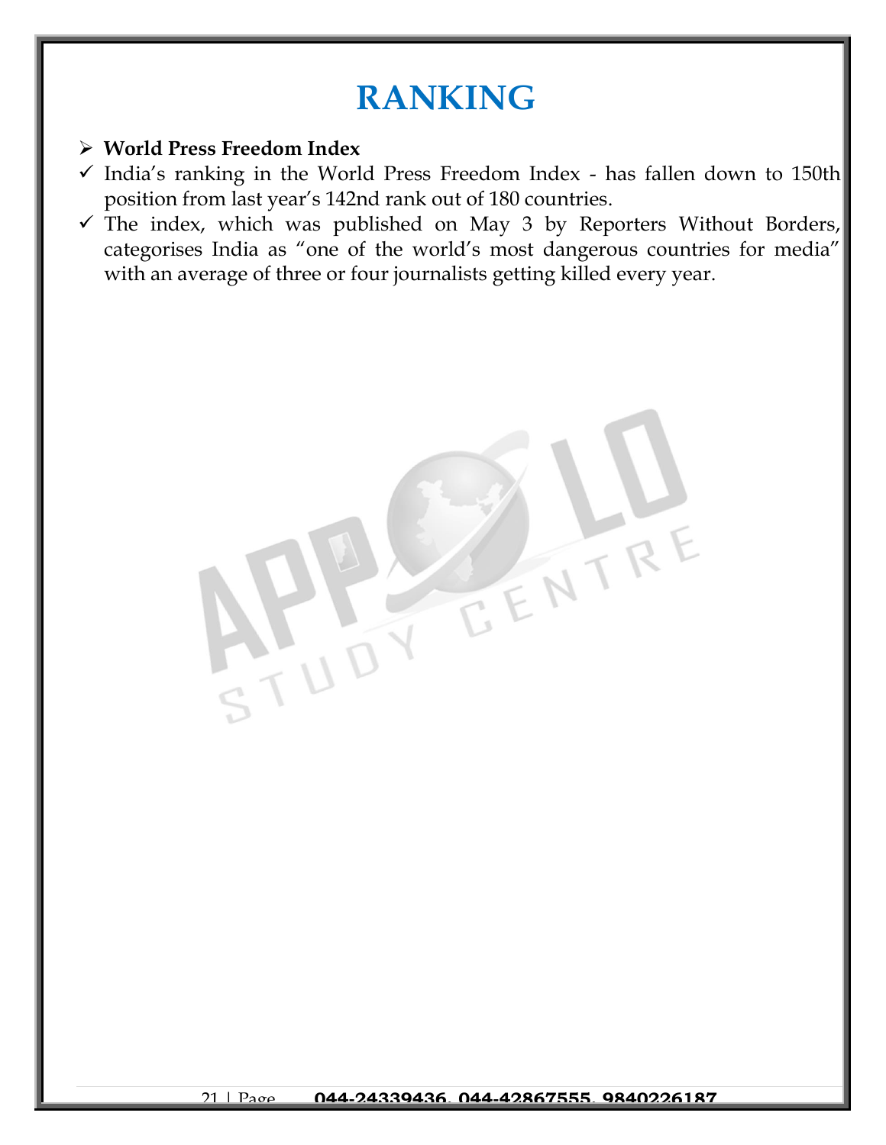## **RANKING**

#### ➢ **World Press Freedom Index**

N UD

- $\checkmark$  India's ranking in the World Press Freedom Index has fallen down to 150th position from last year's 142nd rank out of 180 countries.
- $\checkmark$  The index, which was published on May 3 by Reporters Without Borders, categorises India as "one of the world's most dangerous countries for media" with an average of three or four journalists getting killed every year.

TENTRY

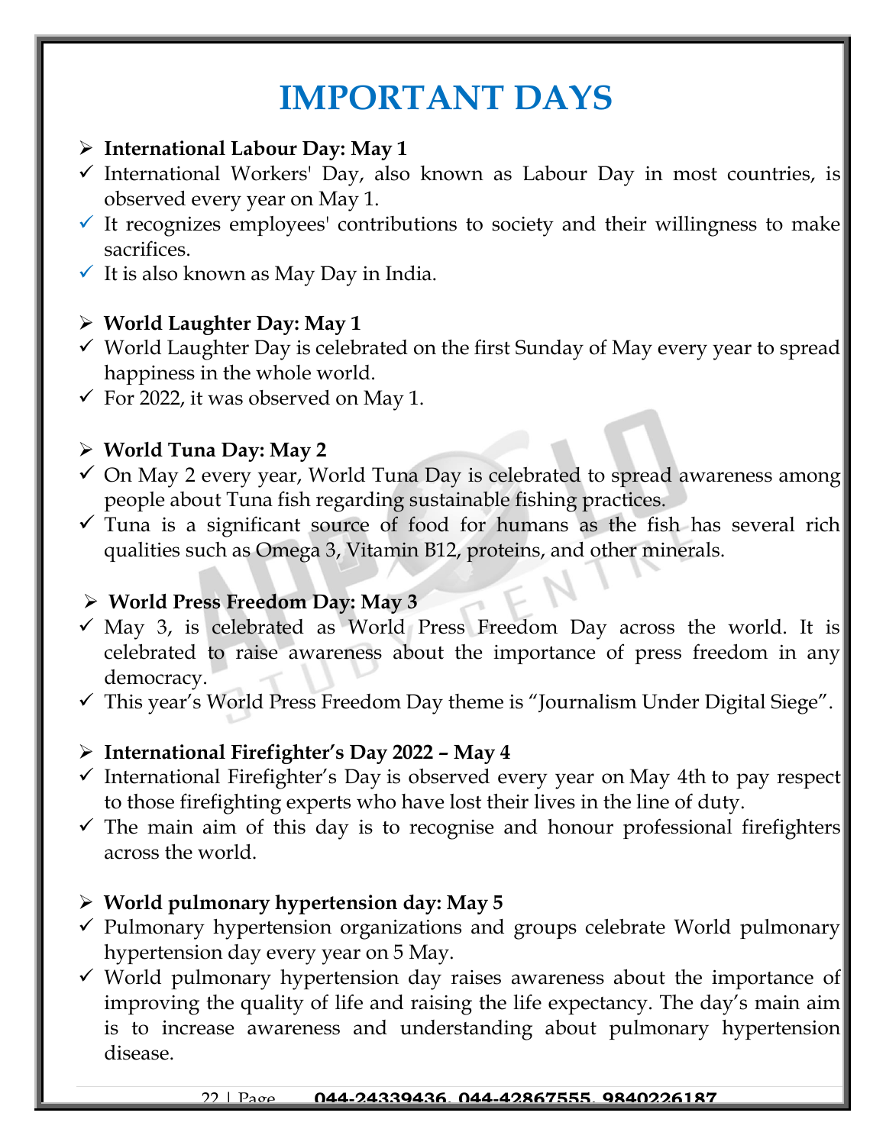## **IMPORTANT DAYS**

- ➢ **International Labour Day: May 1**
- ✓ International Workers' Day, also known as Labour Day in most countries, is observed every year on May 1.
- $\checkmark$  It recognizes employees' contributions to society and their willingness to make sacrifices.
- $\checkmark$  It is also known as May Day in India.

## ➢ **World Laughter Day: May 1**

- ✓ World Laughter Day is celebrated on the first Sunday of May every year to spread happiness in the whole world.
- $\checkmark$  For 2022, it was observed on May 1.

## ➢ **World Tuna Day: May 2**

- $\checkmark$  On May 2 every year, World Tuna Day is celebrated to spread awareness among people about Tuna fish regarding sustainable fishing practices.
- $\checkmark$  Tuna is a significant source of food for humans as the fish has several rich qualities such as Omega 3, Vitamin B12, proteins, and other minerals.

## ➢ **World Press Freedom Day: May 3**

- $\checkmark$  May 3, is celebrated as World Press Freedom Day across the world. It is celebrated to raise awareness about the importance of press freedom in any democracy.
- $\checkmark$  This year's World Press Freedom Day theme is "Journalism Under Digital Siege".

## ➢ **International Firefighter's Day 2022 – May 4**

- ✓ International Firefighter's Day is observed every year on May 4th to pay respect to those firefighting experts who have lost their lives in the line of duty.
- $\checkmark$  The main aim of this day is to recognise and honour professional firefighters across the world.

## ➢ **World pulmonary hypertension day: May 5**

- ✓ Pulmonary hypertension organizations and groups celebrate World pulmonary hypertension day every year on 5 May.
- $\checkmark$  World pulmonary hypertension day raises awareness about the importance of improving the quality of life and raising the life expectancy. The day's main aim is to increase awareness and understanding about pulmonary hypertension disease.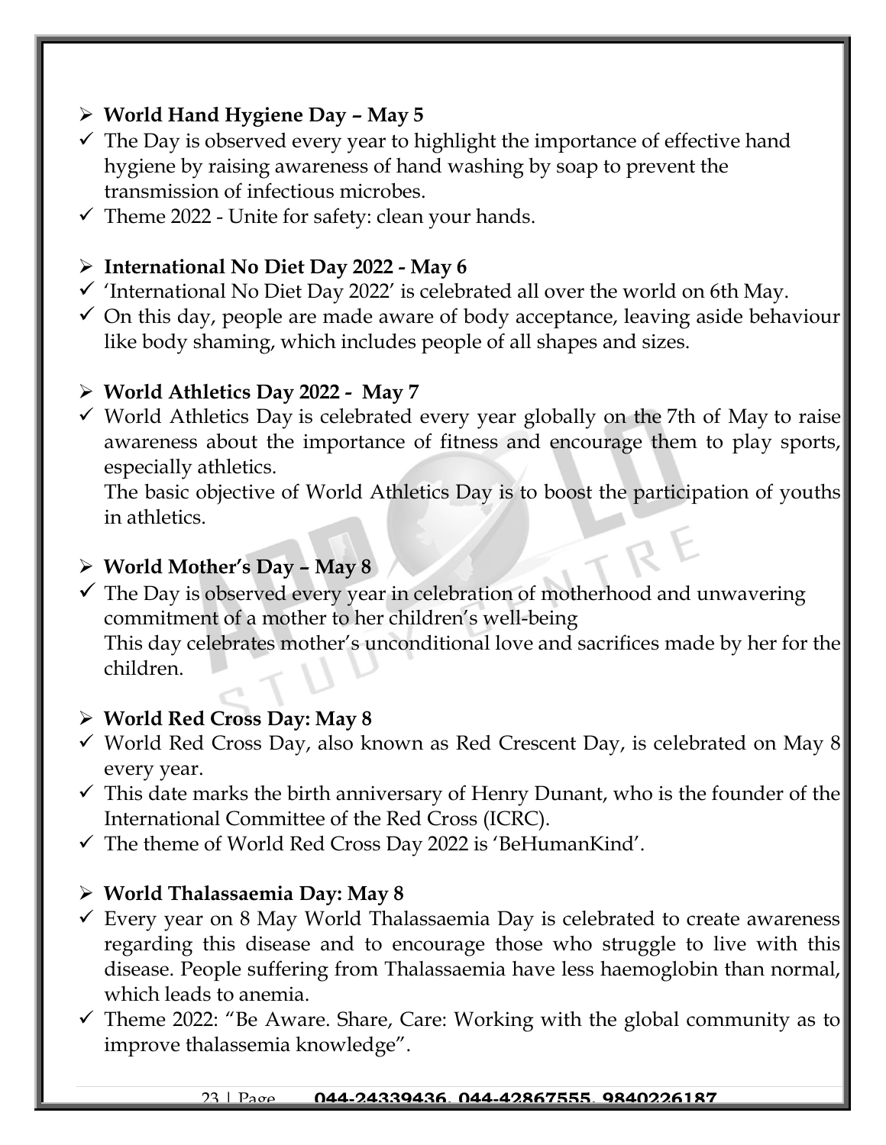## ➢ **World Hand Hygiene Day – May 5**

- $\checkmark$  The Day is observed every year to highlight the importance of effective hand hygiene by raising awareness of hand washing by soap to prevent the transmission of infectious microbes.
- $\checkmark$  Theme 2022 Unite for safety: clean your hands.

### ➢ **International No Diet Day 2022 - May 6**

- $\checkmark$  'International No Diet Day 2022' is celebrated all over the world on 6th May.
- $\checkmark$  On this day, people are made aware of body acceptance, leaving aside behaviour like body shaming, which includes people of all shapes and sizes.

### ➢ **World Athletics Day 2022 - May 7**

✓ World Athletics Day is celebrated every year globally on the 7th of May to raise awareness about the importance of fitness and encourage them to play sports, especially athletics.

The basic objective of World Athletics Day is to boost the participation of youths in athletics.

### ➢ **World Mother's Day – May 8**

 $\checkmark$  The Day is observed every year in celebration of motherhood and unwavering commitment of a mother to her children's well-being This day celebrates mother's unconditional love and sacrifices made by her for the children.

## ➢ **World Red Cross Day: May 8**

- $\checkmark$  World Red Cross Day, also known as Red Crescent Day, is celebrated on May 8 every year.
- $\checkmark$  This date marks the birth anniversary of Henry Dunant, who is the founder of the International Committee of the Red Cross (ICRC).
- ✓ The theme of World Red Cross Day 2022 is 'BeHumanKind'.

#### ➢ **World Thalassaemia Day: May 8**

- $\checkmark$  Every year on 8 May World Thalassaemia Day is celebrated to create awareness regarding this disease and to encourage those who struggle to live with this disease. People suffering from Thalassaemia have less haemoglobin than normal, which leads to anemia.
- $\checkmark$  Theme 2022: "Be Aware. Share, Care: Working with the global community as to improve thalassemia knowledge".

#### 23 | Page **044-24339436, 044-42867555, 9840226187**